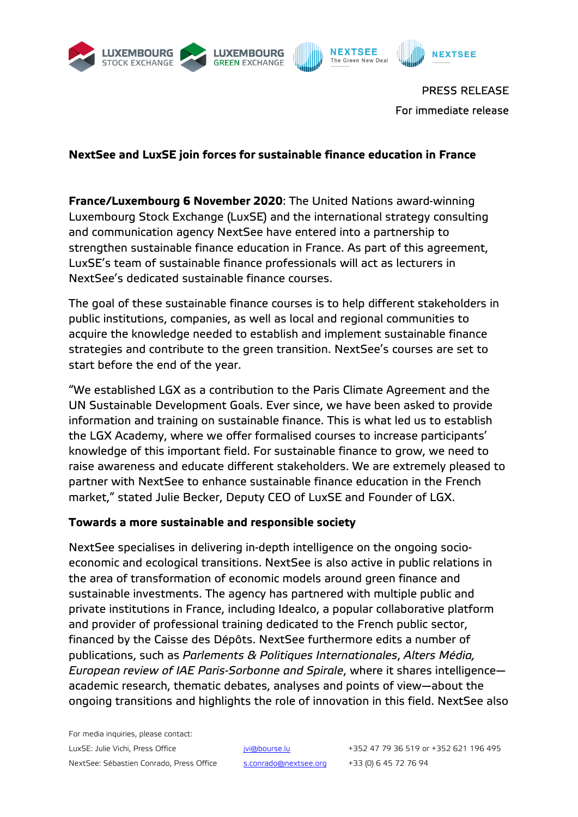





PRESS RELEASE For immediate release

# **NextSee and LuxSE join forces for sustainable finance education in France**

**France/Luxembourg 6 November 2020**: The United Nations award-winning Luxembourg Stock Exchange (LuxSE) and the international strategy consulting and communication agency NextSee have entered into a partnership to strengthen sustainable finance education in France. As part of this agreement, LuxSE's team of sustainable finance professionals will act as lecturers in NextSee's dedicated sustainable finance courses.

The goal of these sustainable finance courses is to help different stakeholders in public institutions, companies, as well as local and regional communities to acquire the knowledge needed to establish and implement sustainable finance strategies and contribute to the green transition. NextSee's courses are set to start before the end of the year.

"We established LGX as a contribution to the Paris Climate Agreement and the UN Sustainable Development Goals. Ever since, we have been asked to provide information and training on sustainable finance. This is what led us to establish the LGX Academy, where we offer formalised courses to increase participants' knowledge of this important field. For sustainable finance to grow, we need to raise awareness and educate different stakeholders. We are extremely pleased to partner with NextSee to enhance sustainable finance education in the French market," stated Julie Becker, Deputy CEO of LuxSE and Founder of LGX.

## **Towards a more sustainable and responsible society**

NextSee specialises in delivering in-depth intelligence on the ongoing socioeconomic and ecological transitions. NextSee is also active in public relations in the area of transformation of economic models around green finance and sustainable investments. The agency has partnered with multiple public and private institutions in France, including Idealco, a popular collaborative platform and provider of professional training dedicated to the French public sector, financed by the Caisse des Dépôts. NextSee furthermore edits a number of publications, such as *Parlements & Politiques Internationales*, *Alters Média, European review of IAE Paris-Sorbonne and Spirale*, where it shares intelligence academic research, thematic debates, analyses and points of view—about the ongoing transitions and highlights the role of innovation in this field. NextSee also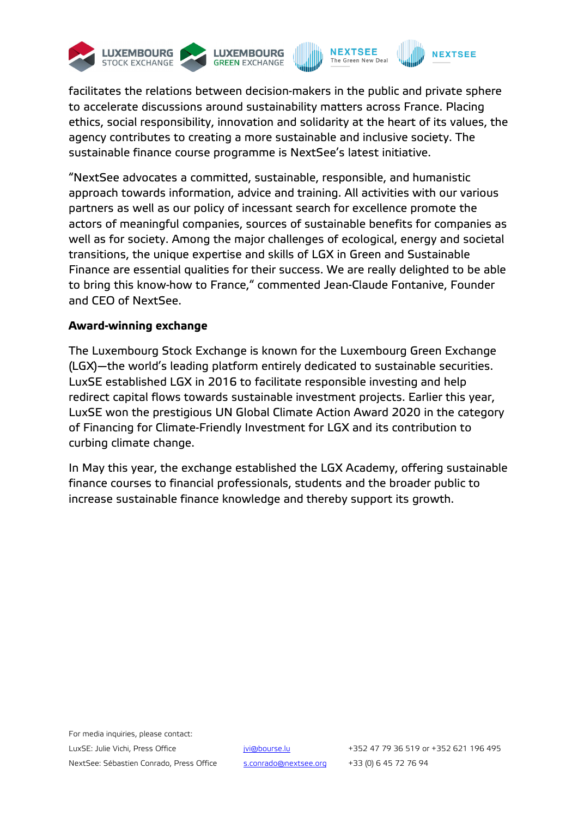

facilitates the relations between decision-makers in the public and private sphere to accelerate discussions around sustainability matters across France. Placing ethics, social responsibility, innovation and solidarity at the heart of its values, the agency contributes to creating a more sustainable and inclusive society. The sustainable finance course programme is NextSee's latest initiative.

"NextSee advocates a committed, sustainable, responsible, and humanistic approach towards information, advice and training. All activities with our various partners as well as our policy of incessant search for excellence promote the actors of meaningful companies, sources of sustainable benefits for companies as well as for society. Among the major challenges of ecological, energy and societal transitions, the unique expertise and skills of LGX in Green and Sustainable Finance are essential qualities for their success. We are really delighted to be able to bring this know-how to France," commented Jean-Claude Fontanive, Founder and CEO of NextSee.

## **Award-winning exchange**

The Luxembourg Stock Exchange is known for the Luxembourg Green Exchange (LGX)—the world's leading platform entirely dedicated to sustainable securities. LuxSE established LGX in 2016 to facilitate responsible investing and help redirect capital flows towards sustainable investment projects. Earlier this year, LuxSE won the prestigious UN Global Climate Action Award 2020 in the category of Financing for Climate-Friendly Investment for LGX and its contribution to curbing climate change.

In May this year, the exchange established the LGX Academy, offering sustainable finance courses to financial professionals, students and the broader public to increase sustainable finance knowledge and thereby support its growth.